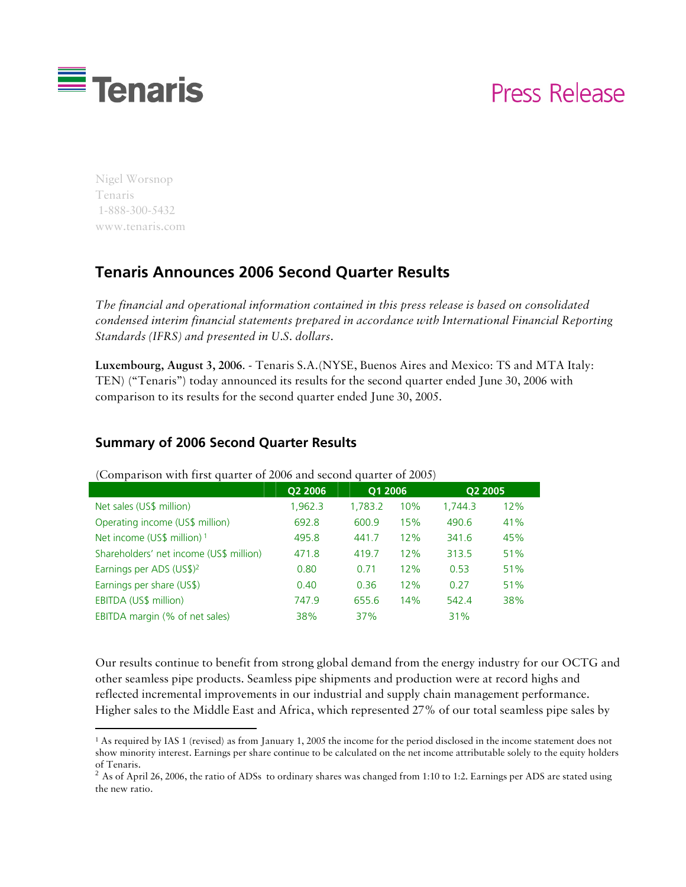

# Press Release

Nigel Worsnop Tenaris 1-888-300-5432 www.tenaris.com

1

## **Tenaris Announces 2006 Second Quarter Results**

*The financial and operational information contained in this press release is based on consolidated condensed interim financial statements prepared in accordance with International Financial Reporting Standards (IFRS) and presented in U.S. dollars.* 

**Luxembourg, August 3, 2006**. - Tenaris S.A.(NYSE, Buenos Aires and Mexico: TS and MTA Italy: TEN) ("Tenaris") today announced its results for the second quarter ended June 30, 2006 with comparison to its results for the second quarter ended June 30, 2005.

#### **Summary of 2006 Second Quarter Results**

|                                         | Q2 2006 | Q1 2006 |     | Q2 2005 |     |
|-----------------------------------------|---------|---------|-----|---------|-----|
| Net sales (US\$ million)                | 1,962.3 | 1,783.2 | 10% | 1.744.3 | 12% |
| Operating income (US\$ million)         | 692.8   | 600.9   | 15% | 490.6   | 41% |
| Net income (US\$ million) 1             | 495.8   | 441.7   | 12% | 341.6   | 45% |
| Shareholders' net income (US\$ million) | 471.8   | 419.7   | 12% | 313.5   | 51% |
| Earnings per ADS (US\$) <sup>2</sup>    | 0.80    | 0.71    | 12% | 0.53    | 51% |
| Earnings per share (US\$)               | 0.40    | 0.36    | 12% | 0.27    | 51% |
| EBITDA (US\$ million)                   | 747.9   | 655.6   | 14% | 542.4   | 38% |
| EBITDA margin (% of net sales)          | 38%     | 37%     |     | 31%     |     |

(Comparison with first quarter of 2006 and second quarter of 2005)

Our results continue to benefit from strong global demand from the energy industry for our OCTG and other seamless pipe products. Seamless pipe shipments and production were at record highs and reflected incremental improvements in our industrial and supply chain management performance. Higher sales to the Middle East and Africa, which represented 27% of our total seamless pipe sales by

<sup>1</sup> As required by IAS 1 (revised) as from January 1, 2005 the income for the period disclosed in the income statement does not show minority interest. Earnings per share continue to be calculated on the net income attributable solely to the equity holders of Tenaris.

 $^2$  As of April 26, 2006, the ratio of ADSs to ordinary shares was changed from 1:10 to 1:2. Earnings per ADS are stated using the new ratio.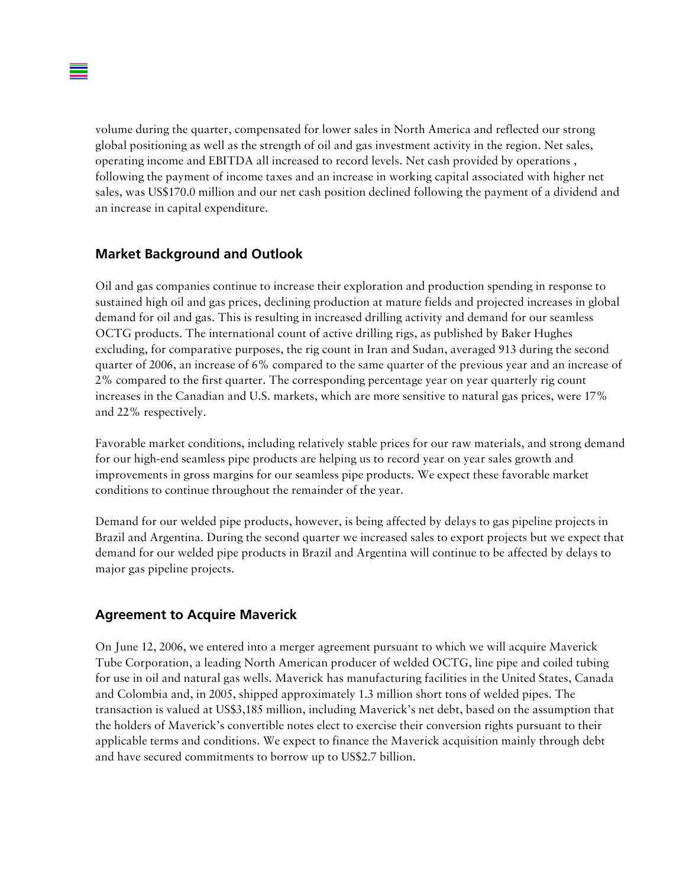volume during the quarter, compensated for lower sales in North America and reflected our strong global positioning as well as the strength of oil and gas investment activity in the region. Net sales, operating income and EBITDA all increased to record levels. Net cash provided by operations , following the payment of income taxes and an increase in working capital associated with higher net sales, was US\$170.0 million and our net cash position declined following the payment of a dividend and an increase in capital expenditure.

#### **Market Background and Outlook**

Oil and gas companies continue to increase their exploration and production spending in response to sustained high oil and gas prices, declining production at mature fields and projected increases in global demand for oil and gas. This is resulting in increased drilling activity and demand for our seamless OCTG products. The international count of active drilling rigs, as published by Baker Hughes excluding, for comparative purposes, the rig count in Iran and Sudan, averaged 913 during the second quarter of 2006, an increase of 6% compared to the same quarter of the previous year and an increase of 2% compared to the first quarter. The corresponding percentage year on year quarterly rig count increases in the Canadian and U.S. markets, which are more sensitive to natural gas prices, were 17% and 22% respectively.

Favorable market conditions, including relatively stable prices for our raw materials, and strong demand for our high-end seamless pipe products are helping us to record year on year sales growth and improvements in gross margins for our seamless pipe products. We expect these favorable market conditions to continue throughout the remainder of the year.

Demand for our welded pipe products, however, is being affected by delays to gas pipeline projects in Brazil and Argentina. During the second quarter we increased sales to export projects but we expect that demand for our welded pipe products in Brazil and Argentina will continue to be affected by delays to major gas pipeline projects.

#### **Agreement to Acquire Maverick**

On June 12, 2006, we entered into a merger agreement pursuant to which we will acquire Maverick Tube Corporation, a leading North American producer of welded OCTG, line pipe and coiled tubing for use in oil and natural gas wells. Maverick has manufacturing facilities in the United States, Canada and Colombia and, in 2005, shipped approximately 1.3 million short tons of welded pipes. The transaction is valued at US\$3,185 million, including Maverick's net debt, based on the assumption that the holders of Maverick's convertible notes elect to exercise their conversion rights pursuant to their applicable terms and conditions. We expect to finance the Maverick acquisition mainly through debt and have secured commitments to borrow up to US\$2.7 billion.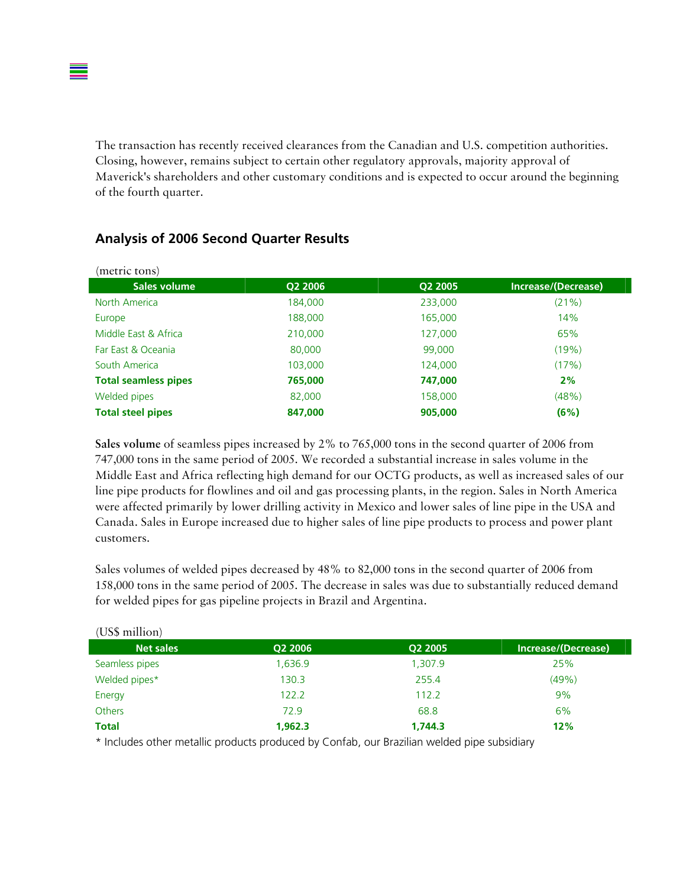The transaction has recently received clearances from the Canadian and U.S. competition authorities. Closing, however, remains subject to certain other regulatory approvals, majority approval of Maverick's shareholders and other customary conditions and is expected to occur around the beginning of the fourth quarter.

| (metric tons)               |         |         |                     |
|-----------------------------|---------|---------|---------------------|
| Sales volume                | Q2 2006 | Q2 2005 | Increase/(Decrease) |
| North America               | 184,000 | 233,000 | (21%)               |
| Europe                      | 188,000 | 165,000 | 14%                 |
| Middle East & Africa        | 210,000 | 127,000 | 65%                 |
| Far East & Oceania          | 80,000  | 99,000  | (19%)               |
| South America               | 103,000 | 124,000 | (17%)               |
| <b>Total seamless pipes</b> | 765,000 | 747,000 | 2%                  |
| Welded pipes                | 82,000  | 158,000 | (48%)               |
| <b>Total steel pipes</b>    | 847,000 | 905,000 | (6%)                |

#### **Analysis of 2006 Second Quarter Results**

 $(UP<sub>0</sub> + 11)$ 

**Sales volume** of seamless pipes increased by 2% to 765,000 tons in the second quarter of 2006 from 747,000 tons in the same period of 2005. We recorded a substantial increase in sales volume in the Middle East and Africa reflecting high demand for our OCTG products, as well as increased sales of our line pipe products for flowlines and oil and gas processing plants, in the region. Sales in North America were affected primarily by lower drilling activity in Mexico and lower sales of line pipe in the USA and Canada. Sales in Europe increased due to higher sales of line pipe products to process and power plant customers.

Sales volumes of welded pipes decreased by 48% to 82,000 tons in the second quarter of 2006 from 158,000 tons in the same period of 2005. The decrease in sales was due to substantially reduced demand for welded pipes for gas pipeline projects in Brazil and Argentina.

| Q2 2006 | Q2 2005 | Increase/(Decrease) |
|---------|---------|---------------------|
| 1,636.9 | 1,307.9 | 25%                 |
| 130.3   | 255.4   | (49%)               |
| 122.2   | 112.2   | 9%                  |
| 72.9    | 68.8    | 6%                  |
| 1,962.3 | 1.744.3 | 12%                 |
|         |         |                     |

\* Includes other metallic products produced by Confab, our Brazilian welded pipe subsidiary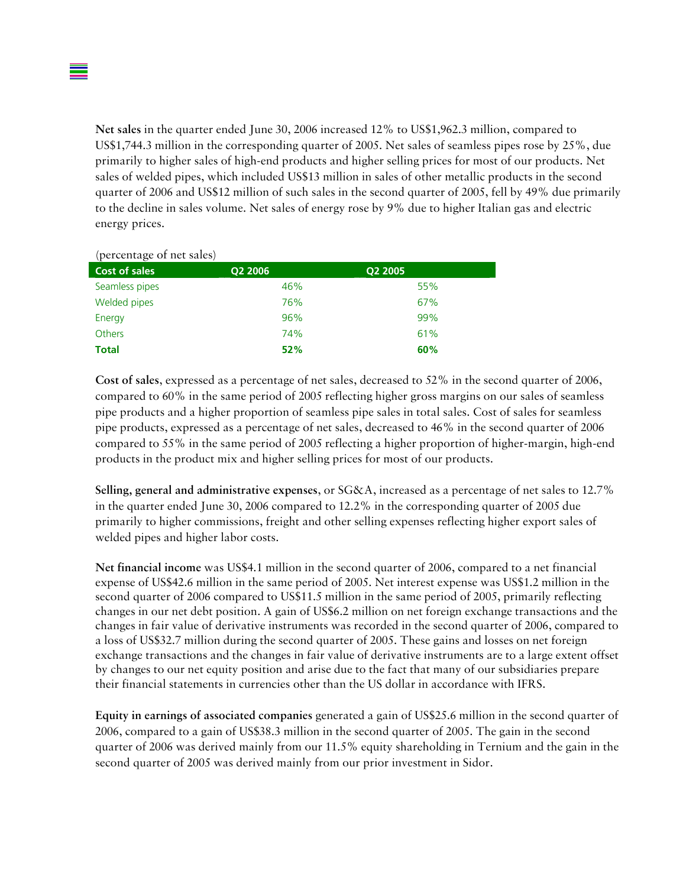**Net sales** in the quarter ended June 30, 2006 increased 12% to US\$1,962.3 million, compared to US\$1,744.3 million in the corresponding quarter of 2005. Net sales of seamless pipes rose by 25%, due primarily to higher sales of high-end products and higher selling prices for most of our products. Net sales of welded pipes, which included US\$13 million in sales of other metallic products in the second quarter of 2006 and US\$12 million of such sales in the second quarter of 2005, fell by 49% due primarily to the decline in sales volume. Net sales of energy rose by 9% due to higher Italian gas and electric energy prices.

| (percentage of het sales) |         |         |
|---------------------------|---------|---------|
| <b>Cost of sales</b>      | Q2 2006 | Q2 2005 |
| Seamless pipes            | 46%     | 55%     |
| Welded pipes              | 76%     | 67%     |
| Energy                    | 96%     | 99%     |
| <b>Others</b>             | 74%     | 61%     |
| <b>Total</b>              | 52%     | 60%     |

(percentage of net sales)

**Cost of sales**, expressed as a percentage of net sales, decreased to 52% in the second quarter of 2006, compared to 60% in the same period of 2005 reflecting higher gross margins on our sales of seamless pipe products and a higher proportion of seamless pipe sales in total sales. Cost of sales for seamless pipe products, expressed as a percentage of net sales, decreased to 46% in the second quarter of 2006 compared to 55% in the same period of 2005 reflecting a higher proportion of higher-margin, high-end products in the product mix and higher selling prices for most of our products.

**Selling, general and administrative expenses**, or SG&A, increased as a percentage of net sales to 12.7% in the quarter ended June 30, 2006 compared to 12.2% in the corresponding quarter of 2005 due primarily to higher commissions, freight and other selling expenses reflecting higher export sales of welded pipes and higher labor costs.

**Net financial income** was US\$4.1 million in the second quarter of 2006, compared to a net financial expense of US\$42.6 million in the same period of 2005. Net interest expense was US\$1.2 million in the second quarter of 2006 compared to US\$11.5 million in the same period of 2005, primarily reflecting changes in our net debt position. A gain of US\$6.2 million on net foreign exchange transactions and the changes in fair value of derivative instruments was recorded in the second quarter of 2006, compared to a loss of US\$32.7 million during the second quarter of 2005. These gains and losses on net foreign exchange transactions and the changes in fair value of derivative instruments are to a large extent offset by changes to our net equity position and arise due to the fact that many of our subsidiaries prepare their financial statements in currencies other than the US dollar in accordance with IFRS.

**Equity in earnings of associated companies** generated a gain of US\$25.6 million in the second quarter of 2006, compared to a gain of US\$38.3 million in the second quarter of 2005. The gain in the second quarter of 2006 was derived mainly from our 11.5% equity shareholding in Ternium and the gain in the second quarter of 2005 was derived mainly from our prior investment in Sidor.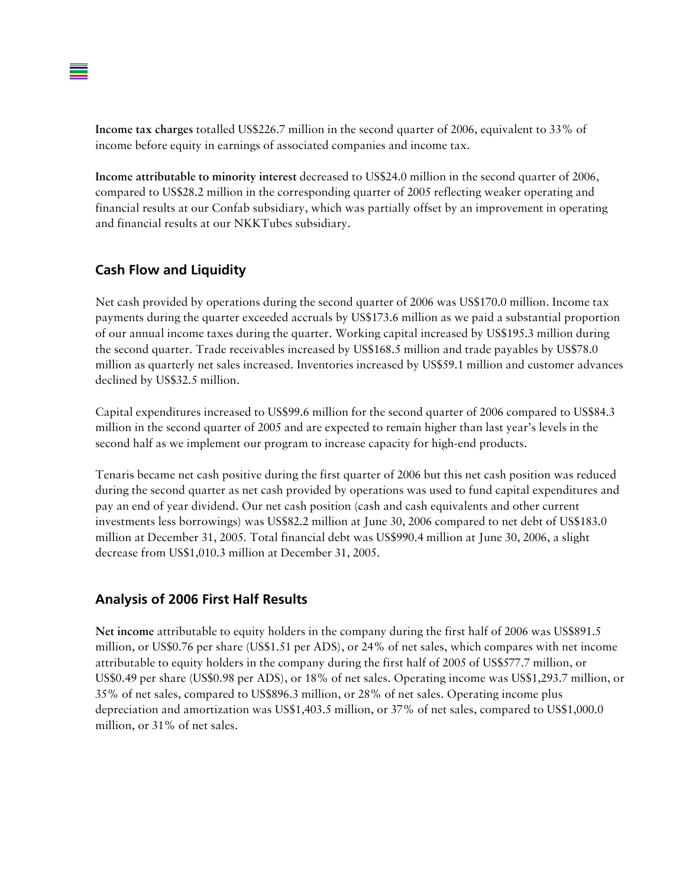**Income tax charges** totalled US\$226.7 million in the second quarter of 2006, equivalent to 33% of income before equity in earnings of associated companies and income tax.

**Income attributable to minority interest** decreased to US\$24.0 million in the second quarter of 2006, compared to US\$28.2 million in the corresponding quarter of 2005 reflecting weaker operating and financial results at our Confab subsidiary, which was partially offset by an improvement in operating and financial results at our NKKTubes subsidiary.

#### **Cash Flow and Liquidity**

Net cash provided by operations during the second quarter of 2006 was US\$170.0 million. Income tax payments during the quarter exceeded accruals by US\$173.6 million as we paid a substantial proportion of our annual income taxes during the quarter. Working capital increased by US\$195.3 million during the second quarter. Trade receivables increased by US\$168.5 million and trade payables by US\$78.0 million as quarterly net sales increased. Inventories increased by US\$59.1 million and customer advances declined by US\$32.5 million.

Capital expenditures increased to US\$99.6 million for the second quarter of 2006 compared to US\$84.3 million in the second quarter of 2005 and are expected to remain higher than last year's levels in the second half as we implement our program to increase capacity for high-end products.

Tenaris became net cash positive during the first quarter of 2006 but this net cash position was reduced during the second quarter as net cash provided by operations was used to fund capital expenditures and pay an end of year dividend. Our net cash position (cash and cash equivalents and other current investments less borrowings) was US\$82.2 million at June 30, 2006 compared to net debt of US\$183.0 million at December 31, 2005. Total financial debt was US\$990.4 million at June 30, 2006, a slight decrease from US\$1,010.3 million at December 31, 2005.

#### **Analysis of 2006 First Half Results**

**Net income** attributable to equity holders in the company during the first half of 2006 was US\$891.5 million, or US\$0.76 per share (US\$1.51 per ADS), or 24% of net sales, which compares with net income attributable to equity holders in the company during the first half of 2005 of US\$577.7 million, or US\$0.49 per share (US\$0.98 per ADS), or 18% of net sales. Operating income was US\$1,293.7 million, or 35% of net sales, compared to US\$896.3 million, or 28% of net sales. Operating income plus depreciation and amortization was US\$1,403.5 million, or 37% of net sales, compared to US\$1,000.0 million, or 31% of net sales.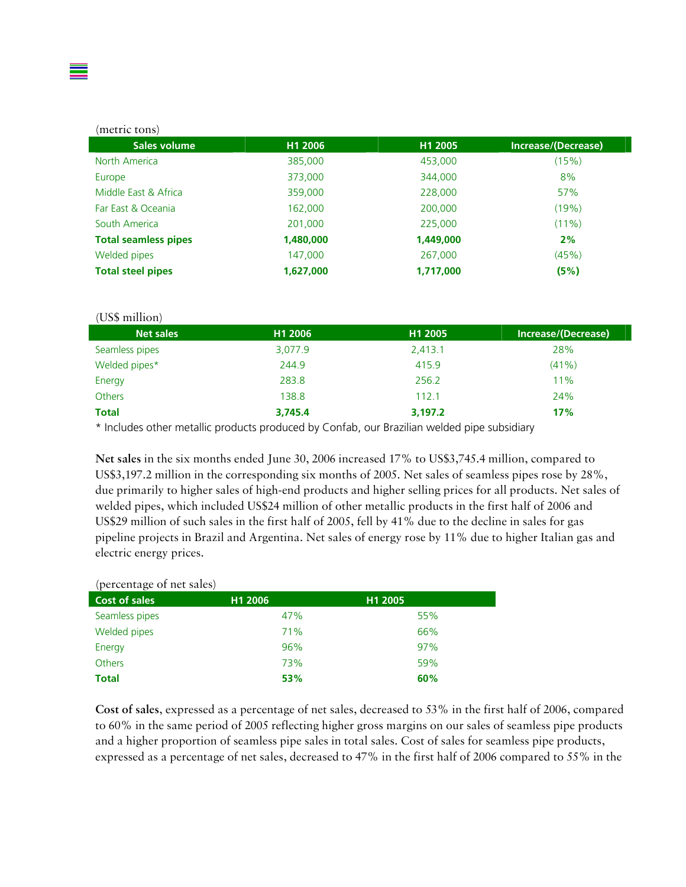#### (metric tons)

| Sales volume                | H1 2006   | H1 2005   | Increase/(Decrease) |
|-----------------------------|-----------|-----------|---------------------|
| North America               | 385,000   | 453,000   | (15%)               |
| Europe                      | 373,000   | 344,000   | 8%                  |
| Middle East & Africa        | 359,000   | 228,000   | 57%                 |
| Far East & Oceania          | 162,000   | 200,000   | (19%)               |
| South America               | 201,000   | 225,000   | (11%)               |
| <b>Total seamless pipes</b> | 1,480,000 | 1,449,000 | 2%                  |
| Welded pipes                | 147,000   | 267,000   | (45%)               |
| <b>Total steel pipes</b>    | 1,627,000 | 1,717,000 | (5%)                |

## (US\$ million)

| <b>Net sales</b> | H1 2006 | H1 2005 | Increase/(Decrease) |
|------------------|---------|---------|---------------------|
| Seamless pipes   | 3,077.9 | 2,413.1 | 28%                 |
| Welded pipes*    | 244.9   | 415.9   | (41% )              |
| Energy           | 283.8   | 256.2   | 11%                 |
| <b>Others</b>    | 138.8   | 112.1   | 24%                 |
| <b>Total</b>     | 3,745.4 | 3,197.2 | 17%                 |

\* Includes other metallic products produced by Confab, our Brazilian welded pipe subsidiary

**Net sales** in the six months ended June 30, 2006 increased 17% to US\$3,745.4 million, compared to US\$3,197.2 million in the corresponding six months of 2005. Net sales of seamless pipes rose by 28%, due primarily to higher sales of high-end products and higher selling prices for all products. Net sales of welded pipes, which included US\$24 million of other metallic products in the first half of 2006 and US\$29 million of such sales in the first half of 2005, fell by 41% due to the decline in sales for gas pipeline projects in Brazil and Argentina. Net sales of energy rose by 11% due to higher Italian gas and electric energy prices.

#### (percentage of net sales)

| $\lambda$<br>. .<br>Cost of sales | H1 2006 | H1 2005 |
|-----------------------------------|---------|---------|
| Seamless pipes                    | 47%     | 55%     |
| Welded pipes                      | 71%     | 66%     |
| Energy                            | 96%     | 97%     |
| <b>Others</b>                     | 73%     | 59%     |
| <b>Total</b>                      | 53%     | 60%     |

**Cost of sales**, expressed as a percentage of net sales, decreased to 53% in the first half of 2006, compared to 60% in the same period of 2005 reflecting higher gross margins on our sales of seamless pipe products and a higher proportion of seamless pipe sales in total sales. Cost of sales for seamless pipe products, expressed as a percentage of net sales, decreased to 47% in the first half of 2006 compared to 55% in the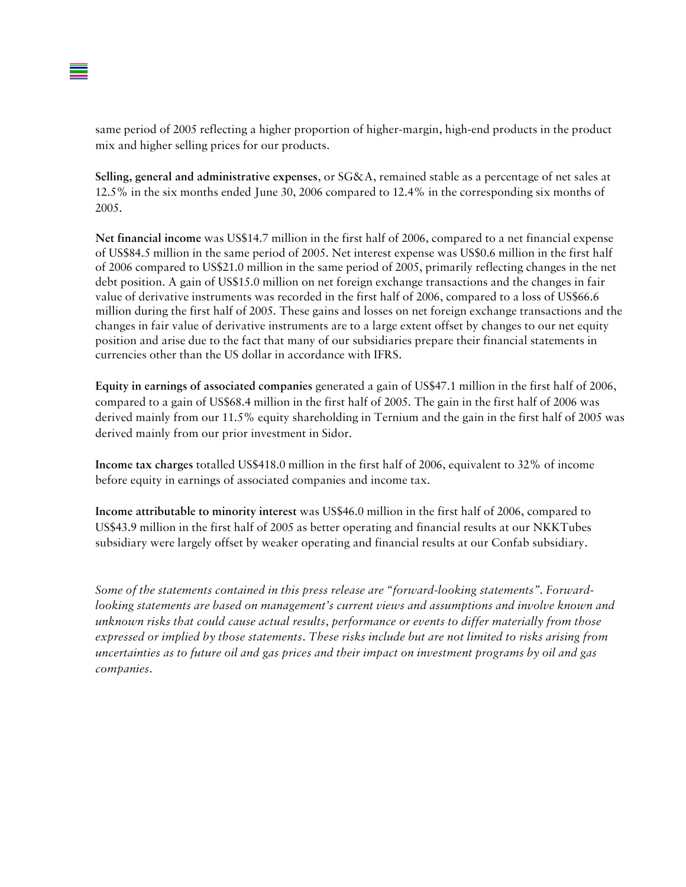

same period of 2005 reflecting a higher proportion of higher-margin, high-end products in the product mix and higher selling prices for our products.

**Selling, general and administrative expenses**, or SG&A, remained stable as a percentage of net sales at 12.5% in the six months ended June 30, 2006 compared to 12.4% in the corresponding six months of 2005.

**Net financial income** was US\$14.7 million in the first half of 2006, compared to a net financial expense of US\$84.5 million in the same period of 2005. Net interest expense was US\$0.6 million in the first half of 2006 compared to US\$21.0 million in the same period of 2005, primarily reflecting changes in the net debt position. A gain of US\$15.0 million on net foreign exchange transactions and the changes in fair value of derivative instruments was recorded in the first half of 2006, compared to a loss of US\$66.6 million during the first half of 2005. These gains and losses on net foreign exchange transactions and the changes in fair value of derivative instruments are to a large extent offset by changes to our net equity position and arise due to the fact that many of our subsidiaries prepare their financial statements in currencies other than the US dollar in accordance with IFRS.

**Equity in earnings of associated companies** generated a gain of US\$47.1 million in the first half of 2006, compared to a gain of US\$68.4 million in the first half of 2005. The gain in the first half of 2006 was derived mainly from our 11.5% equity shareholding in Ternium and the gain in the first half of 2005 was derived mainly from our prior investment in Sidor.

**Income tax charges** totalled US\$418.0 million in the first half of 2006, equivalent to 32% of income before equity in earnings of associated companies and income tax.

**Income attributable to minority interest** was US\$46.0 million in the first half of 2006, compared to US\$43.9 million in the first half of 2005 as better operating and financial results at our NKKTubes subsidiary were largely offset by weaker operating and financial results at our Confab subsidiary.

*Some of the statements contained in this press release are "forward-looking statements". Forwardlooking statements are based on management's current views and assumptions and involve known and unknown risks that could cause actual results, performance or events to differ materially from those expressed or implied by those statements. These risks include but are not limited to risks arising from uncertainties as to future oil and gas prices and their impact on investment programs by oil and gas companies.*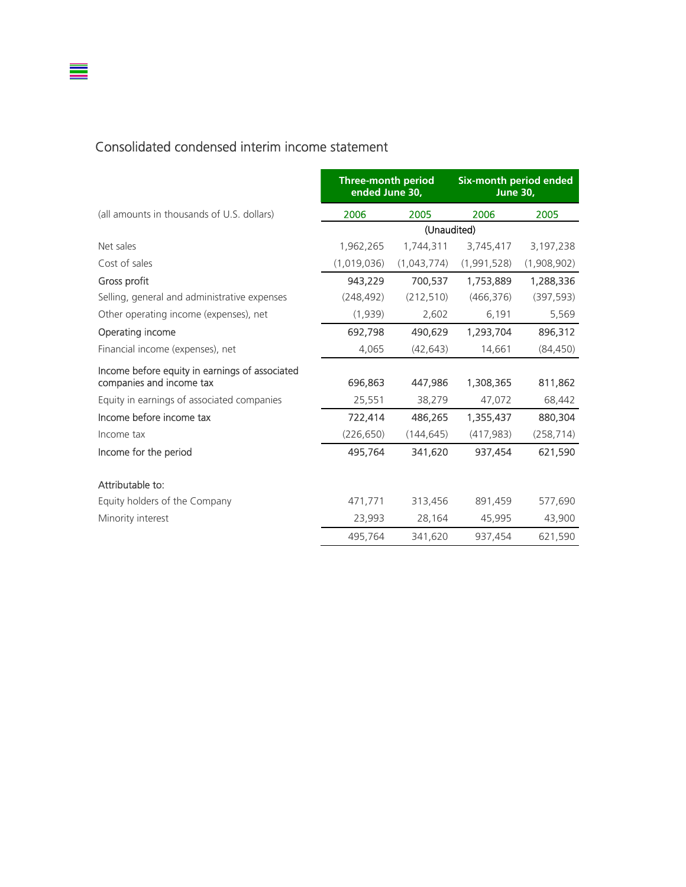#### Consolidated condensed interim income statement

 $\equiv$ 

|                                                                            | <b>Three-month period</b><br>ended June 30, |             | Six-month period ended<br><b>June 30.</b> |             |
|----------------------------------------------------------------------------|---------------------------------------------|-------------|-------------------------------------------|-------------|
| (all amounts in thousands of U.S. dollars)                                 | 2006                                        | 2005        | 2006                                      | 2005        |
|                                                                            |                                             | (Unaudited) |                                           |             |
| Net sales                                                                  | 1,962,265                                   | 1,744,311   | 3,745,417                                 | 3,197,238   |
| Cost of sales                                                              | (1,019,036)                                 | (1,043,774) | (1,991,528)                               | (1,908,902) |
| Gross profit                                                               | 943,229                                     | 700,537     | 1,753,889                                 | 1,288,336   |
| Selling, general and administrative expenses                               | (248, 492)                                  | (212, 510)  | (466, 376)                                | (397, 593)  |
| Other operating income (expenses), net                                     | (1,939)                                     | 2,602       | 6,191                                     | 5,569       |
| Operating income                                                           | 692,798                                     | 490,629     | 1,293,704                                 | 896,312     |
| Financial income (expenses), net                                           | 4,065                                       | (42, 643)   | 14,661                                    | (84, 450)   |
| Income before equity in earnings of associated<br>companies and income tax | 696,863                                     | 447,986     | 1,308,365                                 | 811,862     |
| Equity in earnings of associated companies                                 | 25,551                                      | 38,279      | 47,072                                    | 68,442      |
| Income before income tax                                                   | 722,414                                     | 486,265     | 1,355,437                                 | 880,304     |
| Income tax                                                                 | (226, 650)                                  | (144, 645)  | (417, 983)                                | (258, 714)  |
| Income for the period                                                      | 495,764                                     | 341,620     | 937,454                                   | 621,590     |
| Attributable to:                                                           |                                             |             |                                           |             |
| Equity holders of the Company                                              | 471,771                                     | 313,456     | 891,459                                   | 577,690     |
| Minority interest                                                          | 23,993                                      | 28,164      | 45,995                                    | 43,900      |
|                                                                            | 495,764                                     | 341,620     | 937,454                                   | 621,590     |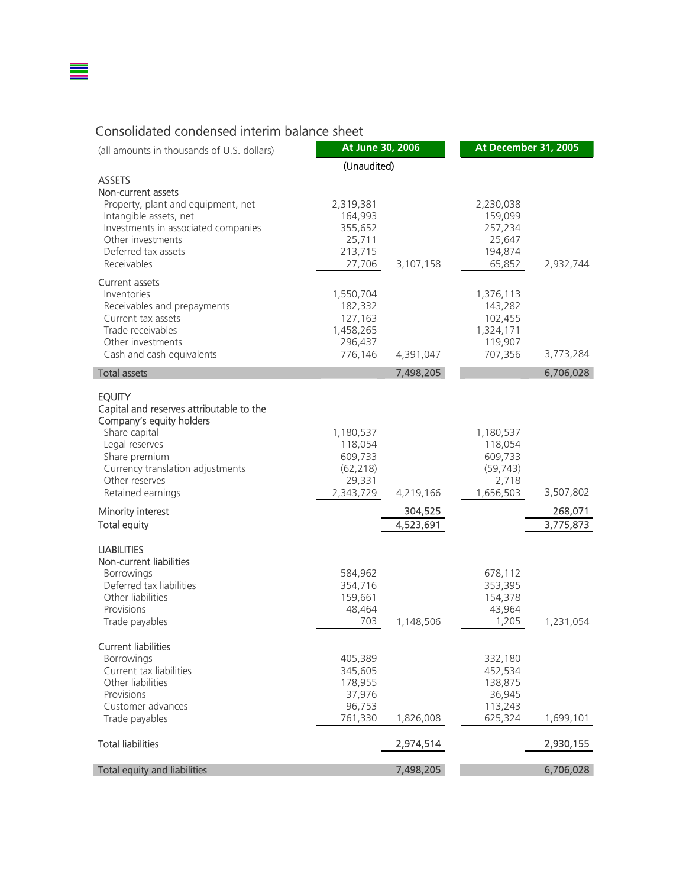#### Consolidated condensed interim balance sheet

▆

| (all amounts in thousands of U.S. dollars)                                                          | At June 30, 2006                             |                      | At December 31, 2005                         |                      |
|-----------------------------------------------------------------------------------------------------|----------------------------------------------|----------------------|----------------------------------------------|----------------------|
|                                                                                                     | (Unaudited)                                  |                      |                                              |                      |
| <b>ASSETS</b><br>Non-current assets                                                                 |                                              |                      |                                              |                      |
| Property, plant and equipment, net<br>Intangible assets, net<br>Investments in associated companies | 2,319,381<br>164,993<br>355,652              |                      | 2,230,038<br>159,099<br>257,234              |                      |
| Other investments<br>Deferred tax assets<br>Receivables                                             | 25,711<br>213,715<br>27,706                  | 3,107,158            | 25,647<br>194,874<br>65,852                  | 2,932,744            |
| <b>Current assets</b><br>Inventories                                                                | 1,550,704                                    |                      | 1,376,113                                    |                      |
| Receivables and prepayments<br>Current tax assets<br>Trade receivables                              | 182,332<br>127,163<br>1,458,265              |                      | 143,282<br>102,455<br>1,324,171              |                      |
| Other investments<br>Cash and cash equivalents                                                      | 296,437<br>776,146                           | 4,391,047            | 119,907<br>707,356                           | 3,773,284            |
| <b>Total assets</b>                                                                                 |                                              | 7,498,205            |                                              | 6,706,028            |
| <b>EQUITY</b><br>Capital and reserves attributable to the<br>Company's equity holders               |                                              |                      |                                              |                      |
| Share capital<br>Legal reserves<br>Share premium<br>Currency translation adjustments                | 1,180,537<br>118,054<br>609,733<br>(62, 218) |                      | 1,180,537<br>118,054<br>609,733<br>(59, 743) |                      |
| Other reserves<br>Retained earnings                                                                 | 29,331<br>2,343,729                          | 4,219,166            | 2,718<br>1,656,503                           | 3,507,802            |
| Minority interest<br><b>Total equity</b>                                                            |                                              | 304,525<br>4,523,691 |                                              | 268,071<br>3,775,873 |
| <b>LIABILITIES</b><br>Non-current liabilities                                                       |                                              |                      |                                              |                      |
| <b>Borrowings</b><br>Deferred tax liabilities<br>Other liabilities<br>Provisions                    | 584,962<br>354,716<br>159,661<br>48,464      |                      | 678,112<br>353,395<br>154,378<br>43,964      |                      |
| Trade payables                                                                                      | 703                                          | 1,148,506            | 1,205                                        | 1,231,054            |
| <b>Current liabilities</b><br><b>Borrowings</b>                                                     | 405,389                                      |                      | 332,180                                      |                      |
| Current tax liabilities<br>Other liabilities<br>Provisions<br>Customer advances                     | 345,605<br>178,955<br>37,976<br>96,753       |                      | 452,534<br>138,875<br>36,945<br>113,243      |                      |
| Trade payables                                                                                      | 761,330                                      | 1,826,008            | 625,324                                      | 1,699,101            |
| <b>Total liabilities</b>                                                                            |                                              | 2,974,514            |                                              | 2,930,155            |
| Total equity and liabilities                                                                        |                                              | 7,498,205            |                                              | 6,706,028            |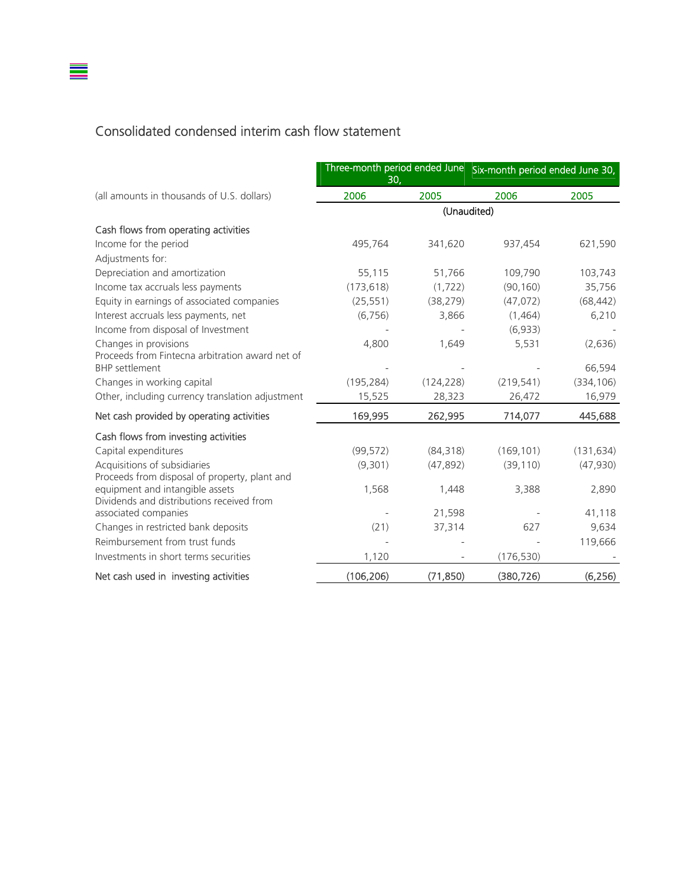## Consolidated condensed interim cash flow statement

▆

|                                                                              | 30,        |            | Three-month period ended June Six-month period ended June 30, |            |
|------------------------------------------------------------------------------|------------|------------|---------------------------------------------------------------|------------|
| (all amounts in thousands of U.S. dollars)                                   | 2006       | 2005       | 2006                                                          | 2005       |
|                                                                              |            |            | (Unaudited)                                                   |            |
| Cash flows from operating activities                                         |            |            |                                                               |            |
| Income for the period                                                        | 495,764    | 341,620    | 937,454                                                       | 621,590    |
| Adjustments for:                                                             |            |            |                                                               |            |
| Depreciation and amortization                                                | 55,115     | 51,766     | 109,790                                                       | 103,743    |
| Income tax accruals less payments                                            | (173, 618) | (1, 722)   | (90, 160)                                                     | 35,756     |
| Equity in earnings of associated companies                                   | (25, 551)  | (38, 279)  | (47, 072)                                                     | (68, 442)  |
| Interest accruals less payments, net                                         | (6, 756)   | 3,866      | (1,464)                                                       | 6,210      |
| Income from disposal of Investment                                           |            |            | (6,933)                                                       |            |
| Changes in provisions                                                        | 4,800      | 1,649      | 5,531                                                         | (2,636)    |
| Proceeds from Fintecna arbitration award net of<br><b>BHP</b> settlement     |            |            |                                                               | 66,594     |
| Changes in working capital                                                   | (195, 284) | (124, 228) | (219, 541)                                                    | (334, 106) |
| Other, including currency translation adjustment                             | 15,525     | 28,323     | 26,472                                                        | 16,979     |
| Net cash provided by operating activities                                    | 169,995    | 262,995    | 714,077                                                       | 445,688    |
| Cash flows from investing activities                                         |            |            |                                                               |            |
| Capital expenditures                                                         | (99, 572)  | (84, 318)  | (169, 101)                                                    | (131, 634) |
| Acquisitions of subsidiaries                                                 | (9,301)    | (47, 892)  | (39, 110)                                                     | (47,930)   |
| Proceeds from disposal of property, plant and                                |            |            |                                                               |            |
| equipment and intangible assets<br>Dividends and distributions received from | 1,568      | 1,448      | 3,388                                                         | 2,890      |
| associated companies                                                         |            | 21,598     |                                                               | 41,118     |
| Changes in restricted bank deposits                                          | (21)       | 37,314     | 627                                                           | 9,634      |
| Reimbursement from trust funds                                               |            |            |                                                               | 119,666    |
| Investments in short terms securities                                        | 1,120      |            | (176, 530)                                                    |            |
| Net cash used in investing activities                                        | (106, 206) | (71, 850)  | (380, 726)                                                    | (6, 256)   |